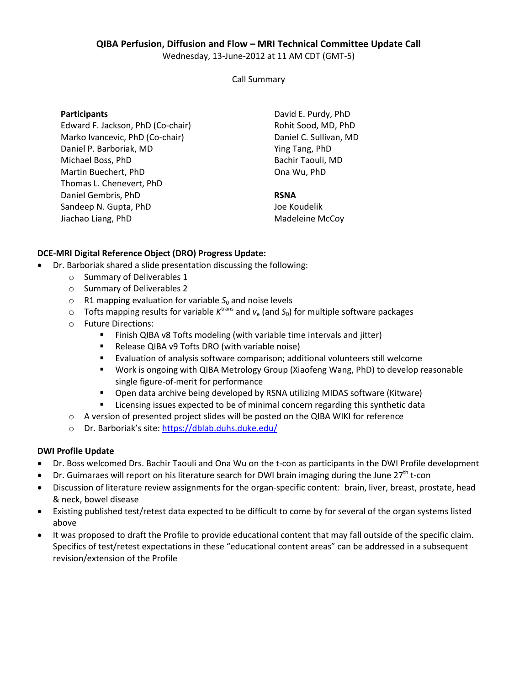# **QIBA Perfusion, Diffusion and Flow – MRI Technical Committee Update Call**

Wednesday, 13-June-2012 at 11 AM CDT (GMT-5)

Call Summary

**Participants** 

Edward F. Jackson, PhD (Co-chair) Marko Ivancevic, PhD (Co-chair) Daniel P. Barboriak, MD Michael Boss, PhD Martin Buechert, PhD Thomas L. Chenevert, PhD Daniel Gembris, PhD Sandeep N. Gupta, PhD Jiachao Liang, PhD

David E. Purdy, PhD Rohit Sood, MD, PhD Daniel C. Sullivan, MD Ying Tang, PhD Bachir Taouli, MD Ona Wu, PhD

### **RSNA**

Joe Koudelik Madeleine McCoy

### **DCE-MRI Digital Reference Object (DRO) Progress Update:**

- Dr. Barboriak shared a slide presentation discussing the following:
	- o Summary of Deliverables 1
	- o Summary of Deliverables 2
	- $\circ$  R1 mapping evaluation for variable  $S_0$  and noise levels
	- $\circ$  Tofts mapping results for variable  $K^{\text{trans}}$  and  $v_{e}$  (and  $S_{0}$ ) for multiple software packages
	- o Future Directions:
		- Finish QIBA v8 Tofts modeling (with variable time intervals and jitter)
		- Release QIBA v9 Tofts DRO (with variable noise)
		- Evaluation of analysis software comparison; additional volunteers still welcome
		- Work is ongoing with QIBA Metrology Group (Xiaofeng Wang, PhD) to develop reasonable single figure-of-merit for performance
		- Open data archive being developed by RSNA utilizing MIDAS software (Kitware)
		- Licensing issues expected to be of minimal concern regarding this synthetic data
	- o A version of presented project slides will be posted on the QIBA WIKI for reference
	- o Dr. Barboriak's site: https://dblab.duhs.duke.edu/

#### **DWI Profile Update**

- Dr. Boss welcomed Drs. Bachir Taouli and Ona Wu on the t-con as participants in the DWI Profile development
- Dr. Guimaraes will report on his literature search for DWI brain imaging during the June  $27<sup>th</sup>$  t-con
- Discussion of literature review assignments for the organ-specific content: brain, liver, breast, prostate, head & neck, bowel disease
- Existing published test/retest data expected to be difficult to come by for several of the organ systems listed above
- It was proposed to draft the Profile to provide educational content that may fall outside of the specific claim. Specifics of test/retest expectations in these "educational content areas" can be addressed in a subsequent revision/extension of the Profile